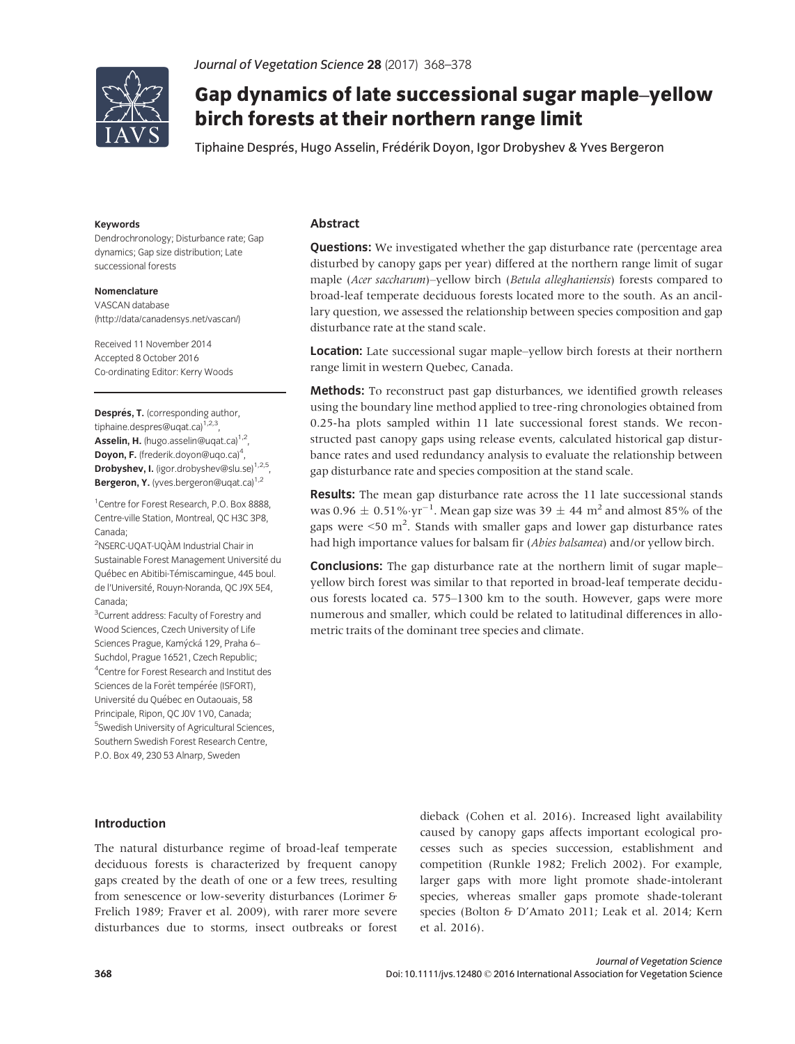

# Gap dynamics of late successional sugar maple–yellow birch forests at their northern range limit

Tiphaine Després, Hugo Asselin, Frédérik Doyon, Igor Drobyshev & Yves Bergeron

#### Keywords

Dendrochronology; Disturbance rate; Gap dynamics; Gap size distribution; Late successional forests

Nomenclature VASCAN database (http://data/canadensys.net/vascan/)

Received 11 November 2014 Accepted 8 October 2016 Co-ordinating Editor: Kerry Woods

Després, T. (corresponding author, tiphaine.despres@uqat.ca)<sup>1,2,3</sup>, Asselin, H. (hugo.asselin@uqat.ca)<sup>1,2</sup>, Doyon, F. (frederik.doyon@uqo.ca)<sup>4</sup>, Drobyshev, I. (igor.drobyshev@slu.se)<sup>1,2,5</sup>, Bergeron, Y. (yves.bergeron@uqat.ca)<sup>1,2</sup>

<sup>1</sup> Centre for Forest Research, P.O. Box 8888, Centre-ville Station, Montreal, QC H3C 3P8, Canada;

2 NSERC-UQAT-UQAM Industrial Chair in Sustainable Forest Management Université du Québec en Abitibi-Témiscamingue, 445 boul. de l'Universit e, Rouyn-Noranda, QC J9X 5E4, Canada;

<sup>3</sup>Current address: Faculty of Forestry and Wood Sciences, Czech University of Life Sciences Prague, Kamýcká 129, Praha 6-Suchdol, Prague 16521, Czech Republic; 4 Centre for Forest Research and Institut des Sciences de la Forêt tempérée (ISFORT), Université du Québec en Outaouais, 58 Principale, Ripon, QC J0V 1V0, Canada; 5 Swedish University of Agricultural Sciences, Southern Swedish Forest Research Centre, P.O. Box 49, 230 53 Alnarp, Sweden

# Introduction

The natural disturbance regime of broad-leaf temperate deciduous forests is characterized by frequent canopy gaps created by the death of one or a few trees, resulting from senescence or low-severity disturbances (Lorimer & Frelich 1989; Fraver et al. 2009), with rarer more severe disturbances due to storms, insect outbreaks or forest dieback (Cohen et al. 2016). Increased light availability caused by canopy gaps affects important ecological processes such as species succession, establishment and competition (Runkle 1982; Frelich 2002). For example, larger gaps with more light promote shade-intolerant species, whereas smaller gaps promote shade-tolerant species (Bolton & D'Amato 2011; Leak et al. 2014; Kern et al. 2016).

## Abstract

**Questions:** We investigated whether the gap disturbance rate (percentage area disturbed by canopy gaps per year) differed at the northern range limit of sugar maple (Acer saccharum)–yellow birch (Betula alleghaniensis) forests compared to broad-leaf temperate deciduous forests located more to the south. As an ancillary question, we assessed the relationship between species composition and gap disturbance rate at the stand scale.

Location: Late successional sugar maple–yellow birch forests at their northern range limit in western Quebec, Canada.

Methods: To reconstruct past gap disturbances, we identified growth releases using the boundary line method applied to tree-ring chronologies obtained from 0.25-ha plots sampled within 11 late successional forest stands. We reconstructed past canopy gaps using release events, calculated historical gap disturbance rates and used redundancy analysis to evaluate the relationship between gap disturbance rate and species composition at the stand scale.

Results: The mean gap disturbance rate across the 11 late successional stands was 0.96  $\pm$  0.51% $\cdot$ yr<sup>-1</sup>. Mean gap size was 39  $\pm$  44 m<sup>2</sup> and almost 85% of the gaps were  $\leq$ 50 m<sup>2</sup>. Stands with smaller gaps and lower gap disturbance rates had high importance values for balsam fir (Abies balsamea) and/or yellow birch.

**Conclusions:** The gap disturbance rate at the northern limit of sugar maple– yellow birch forest was similar to that reported in broad-leaf temperate deciduous forests located ca. 575–1300 km to the south. However, gaps were more numerous and smaller, which could be related to latitudinal differences in allometric traits of the dominant tree species and climate.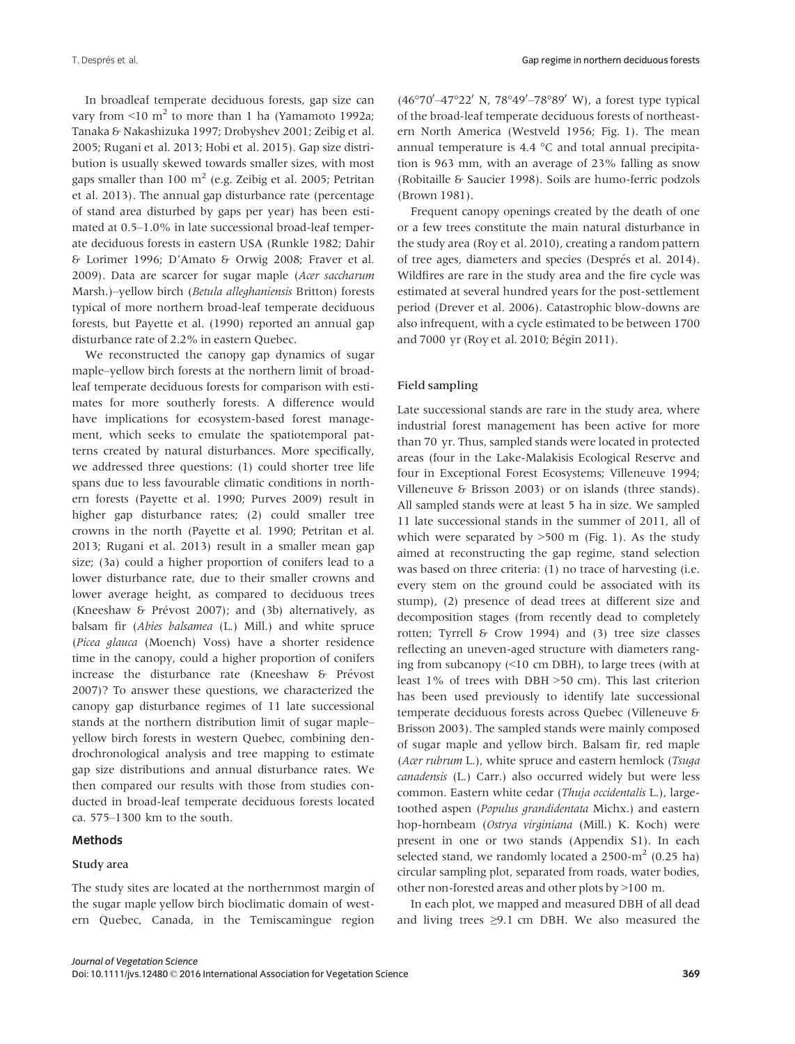In broadleaf temperate deciduous forests, gap size can vary from  $\leq 10$  m<sup>2</sup> to more than 1 ha (Yamamoto 1992a; Tanaka & Nakashizuka 1997; Drobyshev 2001; Zeibig et al. 2005; Rugani et al. 2013; Hobi et al. 2015). Gap size distribution is usually skewed towards smaller sizes, with most gaps smaller than 100  $m<sup>2</sup>$  (e.g. Zeibig et al. 2005; Petritan et al. 2013). The annual gap disturbance rate (percentage of stand area disturbed by gaps per year) has been estimated at 0.5–1.0% in late successional broad-leaf temperate deciduous forests in eastern USA (Runkle 1982; Dahir & Lorimer 1996; D'Amato & Orwig 2008; Fraver et al. 2009). Data are scarcer for sugar maple (Acer saccharum Marsh.)–yellow birch (Betula alleghaniensis Britton) forests typical of more northern broad-leaf temperate deciduous forests, but Payette et al. (1990) reported an annual gap disturbance rate of 2.2% in eastern Quebec.

We reconstructed the canopy gap dynamics of sugar maple–yellow birch forests at the northern limit of broadleaf temperate deciduous forests for comparison with estimates for more southerly forests. A difference would have implications for ecosystem-based forest management, which seeks to emulate the spatiotemporal patterns created by natural disturbances. More specifically, we addressed three questions: (1) could shorter tree life spans due to less favourable climatic conditions in northern forests (Payette et al. 1990; Purves 2009) result in higher gap disturbance rates; (2) could smaller tree crowns in the north (Payette et al. 1990; Petritan et al. 2013; Rugani et al. 2013) result in a smaller mean gap size; (3a) could a higher proportion of conifers lead to a lower disturbance rate, due to their smaller crowns and lower average height, as compared to deciduous trees (Kneeshaw & Prévost 2007); and (3b) alternatively, as balsam fir (Abies balsamea (L.) Mill.) and white spruce (Picea glauca (Moench) Voss) have a shorter residence time in the canopy, could a higher proportion of conifers increase the disturbance rate (Kneeshaw & Prévost 2007)? To answer these questions, we characterized the canopy gap disturbance regimes of 11 late successional stands at the northern distribution limit of sugar maple– yellow birch forests in western Quebec, combining dendrochronological analysis and tree mapping to estimate gap size distributions and annual disturbance rates. We then compared our results with those from studies conducted in broad-leaf temperate deciduous forests located ca. 575–1300 km to the south.

# Methods

#### Study area

The study sites are located at the northernmost margin of the sugar maple yellow birch bioclimatic domain of western Quebec, Canada, in the Temiscamingue region

(46°70'–47°22' N, 78°49'–78°89' W), a forest type typical of the broad-leaf temperate deciduous forests of northeastern North America (Westveld 1956; Fig. 1). The mean annual temperature is 4.4 °C and total annual precipitation is 963 mm, with an average of 23% falling as snow (Robitaille & Saucier 1998). Soils are humo-ferric podzols (Brown 1981).

Frequent canopy openings created by the death of one or a few trees constitute the main natural disturbance in the study area (Roy et al. 2010), creating a random pattern of tree ages, diameters and species (Després et al. 2014). Wildfires are rare in the study area and the fire cycle was estimated at several hundred years for the post-settlement period (Drever et al. 2006). Catastrophic blow-downs are also infrequent, with a cycle estimated to be between 1700 and 7000 yr (Roy et al. 2010; Bégin 2011).

#### Field sampling

Late successional stands are rare in the study area, where industrial forest management has been active for more than 70 yr. Thus, sampled stands were located in protected areas (four in the Lake-Malakisis Ecological Reserve and four in Exceptional Forest Ecosystems; Villeneuve 1994; Villeneuve & Brisson 2003) or on islands (three stands). All sampled stands were at least 5 ha in size. We sampled 11 late successional stands in the summer of 2011, all of which were separated by  $>500$  m (Fig. 1). As the study aimed at reconstructing the gap regime, stand selection was based on three criteria: (1) no trace of harvesting (i.e. every stem on the ground could be associated with its stump), (2) presence of dead trees at different size and decomposition stages (from recently dead to completely rotten; Tyrrell & Crow 1994) and (3) tree size classes reflecting an uneven-aged structure with diameters ranging from subcanopy (<10 cm DBH), to large trees (with at least 1% of trees with DBH >50 cm). This last criterion has been used previously to identify late successional temperate deciduous forests across Quebec (Villeneuve & Brisson 2003). The sampled stands were mainly composed of sugar maple and yellow birch. Balsam fir, red maple (Acer rubrum L.), white spruce and eastern hemlock (Tsuga canadensis (L.) Carr.) also occurred widely but were less common. Eastern white cedar (Thuja occidentalis L.), largetoothed aspen (Populus grandidentata Michx.) and eastern hop-hornbeam (Ostrya virginiana (Mill.) K. Koch) were present in one or two stands (Appendix S1). In each selected stand, we randomly located a  $2500 \text{·m}^2$  (0.25 ha) circular sampling plot, separated from roads, water bodies, other non-forested areas and other plots by >100 m.

In each plot, we mapped and measured DBH of all dead and living trees ≥9.1 cm DBH. We also measured the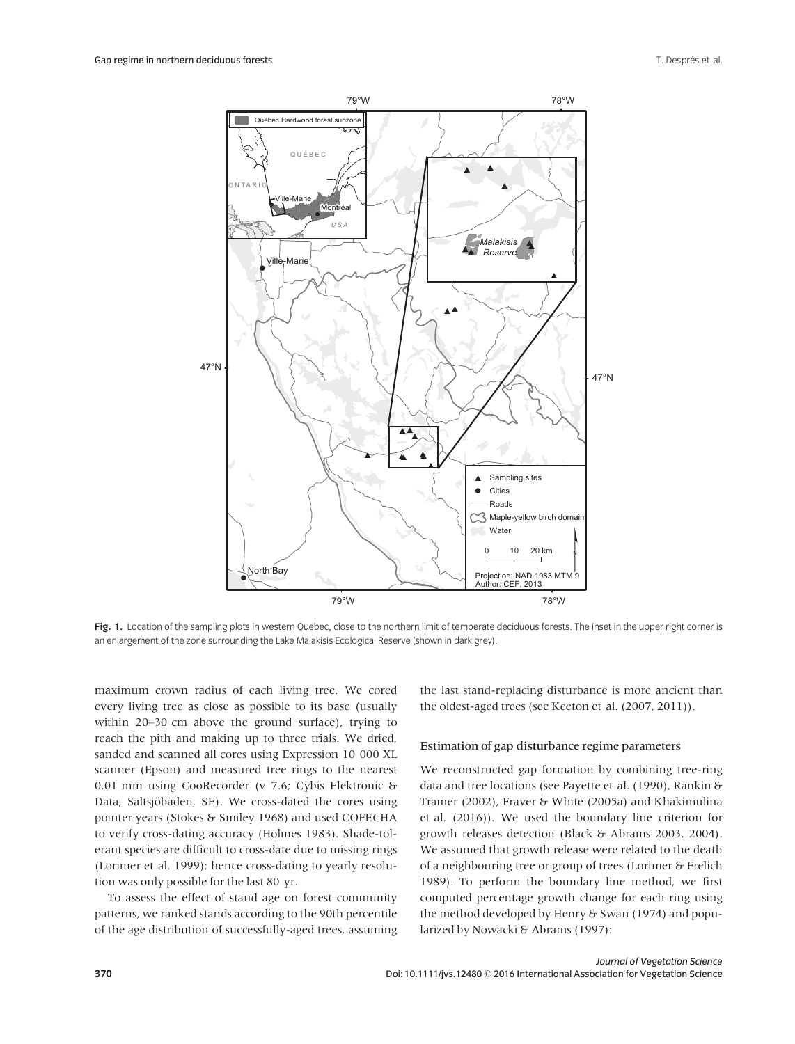

Fig. 1. Location of the sampling plots in western Quebec, close to the northern limit of temperate deciduous forests. The inset in the upper right corner is an enlargement of the zone surrounding the Lake Malakisis Ecological Reserve (shown in dark grey).

maximum crown radius of each living tree. We cored every living tree as close as possible to its base (usually within 20–30 cm above the ground surface), trying to reach the pith and making up to three trials. We dried, sanded and scanned all cores using Expression 10 000 XL scanner (Epson) and measured tree rings to the nearest 0.01 mm using CooRecorder (v 7.6; Cybis Elektronic & Data, Saltsjöbaden, SE). We cross-dated the cores using pointer years (Stokes & Smiley 1968) and used COFECHA to verify cross-dating accuracy (Holmes 1983). Shade-tolerant species are difficult to cross-date due to missing rings (Lorimer et al. 1999); hence cross-dating to yearly resolution was only possible for the last 80 yr.

To assess the effect of stand age on forest community patterns, we ranked stands according to the 90th percentile of the age distribution of successfully-aged trees, assuming the last stand-replacing disturbance is more ancient than the oldest-aged trees (see Keeton et al. (2007, 2011)).

#### Estimation of gap disturbance regime parameters

We reconstructed gap formation by combining tree-ring data and tree locations (see Payette et al. (1990), Rankin & Tramer (2002), Fraver & White (2005a) and Khakimulina et al. (2016)). We used the boundary line criterion for growth releases detection (Black & Abrams 2003, 2004). We assumed that growth release were related to the death of a neighbouring tree or group of trees (Lorimer & Frelich 1989). To perform the boundary line method, we first computed percentage growth change for each ring using the method developed by Henry & Swan (1974) and popularized by Nowacki & Abrams (1997):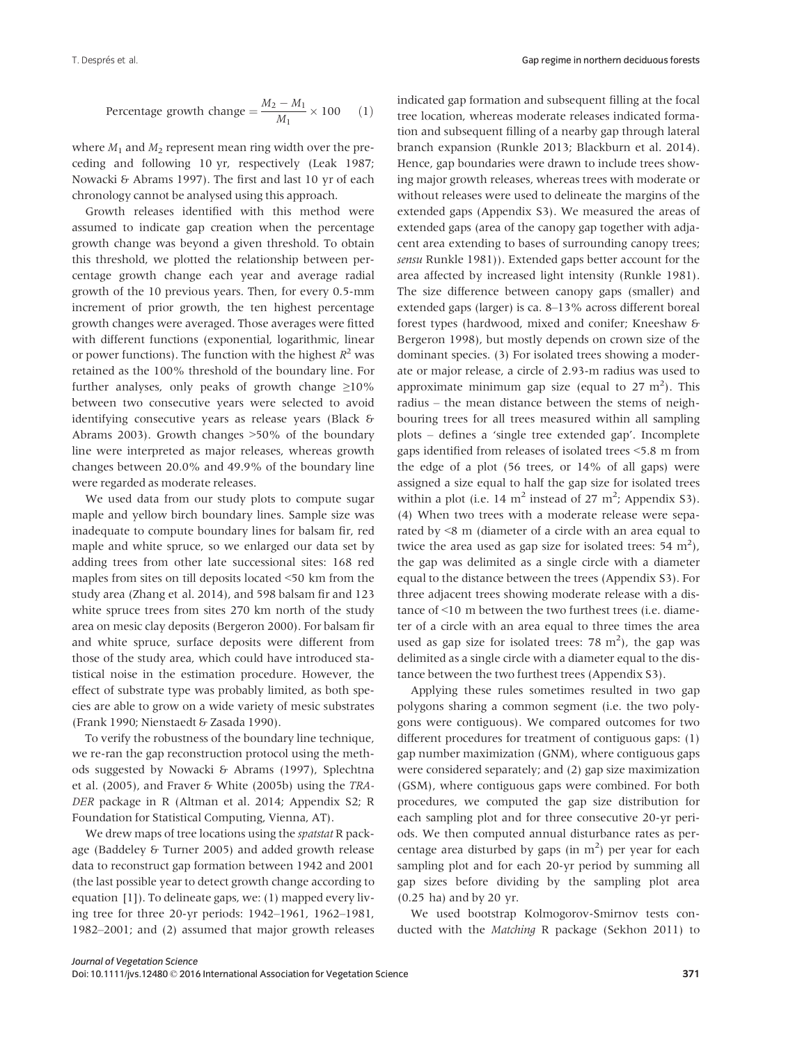Percentage growth change = 
$$
\frac{M_2 - M_1}{M_1} \times 100
$$
 (1)

where  $M_1$  and  $M_2$  represent mean ring width over the preceding and following 10 yr, respectively (Leak 1987; Nowacki & Abrams 1997). The first and last 10 yr of each chronology cannot be analysed using this approach.

Growth releases identified with this method were assumed to indicate gap creation when the percentage growth change was beyond a given threshold. To obtain this threshold, we plotted the relationship between percentage growth change each year and average radial growth of the 10 previous years. Then, for every 0.5-mm increment of prior growth, the ten highest percentage growth changes were averaged. Those averages were fitted with different functions (exponential, logarithmic, linear or power functions). The function with the highest  $R^2$  was retained as the 100% threshold of the boundary line. For further analyses, only peaks of growth change  $\geq 10\%$ between two consecutive years were selected to avoid identifying consecutive years as release years (Black & Abrams 2003). Growth changes >50% of the boundary line were interpreted as major releases, whereas growth changes between 20.0% and 49.9% of the boundary line were regarded as moderate releases.

We used data from our study plots to compute sugar maple and yellow birch boundary lines. Sample size was inadequate to compute boundary lines for balsam fir, red maple and white spruce, so we enlarged our data set by adding trees from other late successional sites: 168 red maples from sites on till deposits located <50 km from the study area (Zhang et al. 2014), and 598 balsam fir and 123 white spruce trees from sites 270 km north of the study area on mesic clay deposits (Bergeron 2000). For balsam fir and white spruce, surface deposits were different from those of the study area, which could have introduced statistical noise in the estimation procedure. However, the effect of substrate type was probably limited, as both species are able to grow on a wide variety of mesic substrates (Frank 1990; Nienstaedt & Zasada 1990).

To verify the robustness of the boundary line technique, we re-ran the gap reconstruction protocol using the methods suggested by Nowacki & Abrams (1997), Splechtna et al. (2005), and Fraver & White (2005b) using the TRA-DER package in R (Altman et al. 2014; Appendix S2; R Foundation for Statistical Computing, Vienna, AT).

We drew maps of tree locations using the *spatstat* R package (Baddeley & Turner 2005) and added growth release data to reconstruct gap formation between 1942 and 2001 (the last possible year to detect growth change according to equation [1]). To delineate gaps, we: (1) mapped every living tree for three 20-yr periods: 1942–1961, 1962–1981, 1982–2001; and (2) assumed that major growth releases indicated gap formation and subsequent filling at the focal tree location, whereas moderate releases indicated formation and subsequent filling of a nearby gap through lateral branch expansion (Runkle 2013; Blackburn et al. 2014). Hence, gap boundaries were drawn to include trees showing major growth releases, whereas trees with moderate or without releases were used to delineate the margins of the extended gaps (Appendix S3). We measured the areas of extended gaps (area of the canopy gap together with adjacent area extending to bases of surrounding canopy trees; sensu Runkle 1981)). Extended gaps better account for the area affected by increased light intensity (Runkle 1981). The size difference between canopy gaps (smaller) and extended gaps (larger) is ca. 8–13% across different boreal forest types (hardwood, mixed and conifer; Kneeshaw & Bergeron 1998), but mostly depends on crown size of the dominant species. (3) For isolated trees showing a moderate or major release, a circle of 2.93-m radius was used to approximate minimum gap size (equal to  $27 \text{ m}^2$ ). This radius – the mean distance between the stems of neighbouring trees for all trees measured within all sampling plots – defines a 'single tree extended gap'. Incomplete gaps identified from releases of isolated trees <5.8 m from the edge of a plot (56 trees, or 14% of all gaps) were assigned a size equal to half the gap size for isolated trees within a plot (i.e.  $14 \text{ m}^2$  instead of 27 m<sup>2</sup>; Appendix S3). (4) When two trees with a moderate release were separated by <8 m (diameter of a circle with an area equal to twice the area used as gap size for isolated trees:  $54 \text{ m}^2$ ), the gap was delimited as a single circle with a diameter equal to the distance between the trees (Appendix S3). For three adjacent trees showing moderate release with a distance of <10 m between the two furthest trees (i.e. diameter of a circle with an area equal to three times the area used as gap size for isolated trees:  $78 \text{ m}^2$ ), the gap was delimited as a single circle with a diameter equal to the distance between the two furthest trees (Appendix S3).

Applying these rules sometimes resulted in two gap polygons sharing a common segment (i.e. the two polygons were contiguous). We compared outcomes for two different procedures for treatment of contiguous gaps: (1) gap number maximization (GNM), where contiguous gaps were considered separately; and (2) gap size maximization (GSM), where contiguous gaps were combined. For both procedures, we computed the gap size distribution for each sampling plot and for three consecutive 20-yr periods. We then computed annual disturbance rates as percentage area disturbed by gaps (in  $m<sup>2</sup>$ ) per year for each sampling plot and for each 20-yr period by summing all gap sizes before dividing by the sampling plot area (0.25 ha) and by 20 yr.

We used bootstrap Kolmogorov-Smirnov tests conducted with the Matching R package (Sekhon 2011) to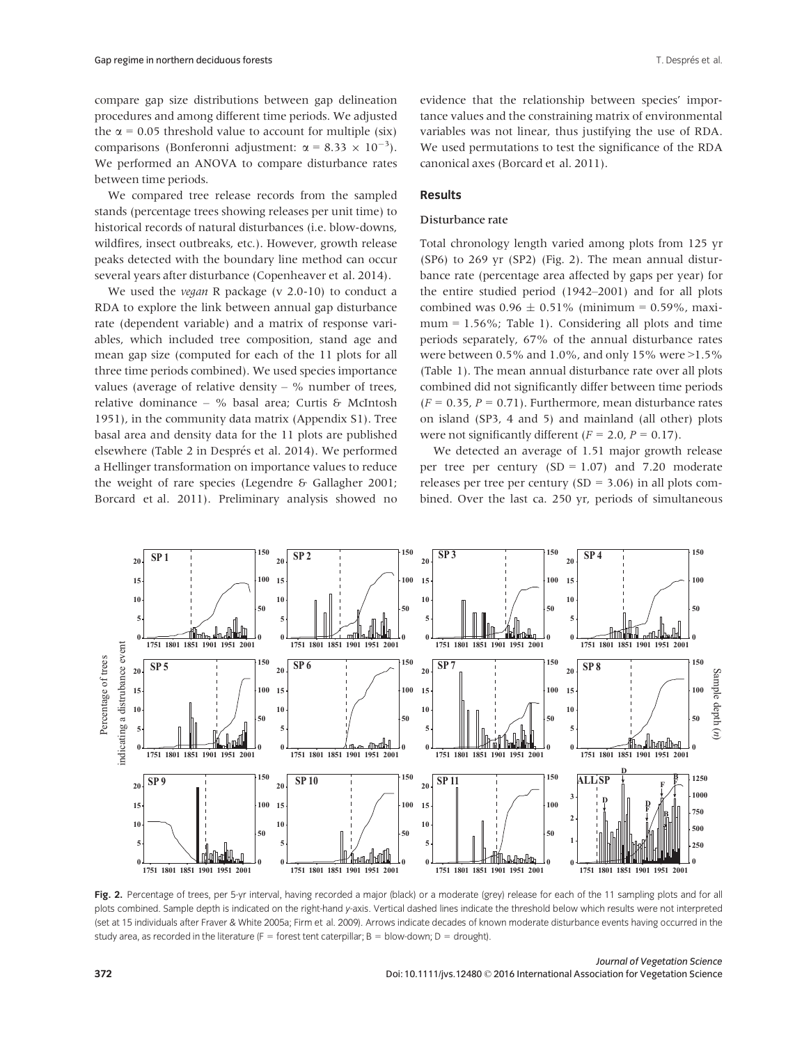compare gap size distributions between gap delineation procedures and among different time periods. We adjusted the  $\alpha$  = 0.05 threshold value to account for multiple (six) comparisons (Bonferonni adjustment:  $\alpha = 8.33 \times 10^{-3}$ ). We performed an ANOVA to compare disturbance rates between time periods.

We compared tree release records from the sampled stands (percentage trees showing releases per unit time) to historical records of natural disturbances (i.e. blow-downs, wildfires, insect outbreaks, etc.). However, growth release peaks detected with the boundary line method can occur several years after disturbance (Copenheaver et al. 2014).

We used the *vegan* R package (v 2.0-10) to conduct a RDA to explore the link between annual gap disturbance rate (dependent variable) and a matrix of response variables, which included tree composition, stand age and mean gap size (computed for each of the 11 plots for all three time periods combined). We used species importance values (average of relative density  $-$  % number of trees, relative dominance – % basal area; Curtis & McIntosh 1951), in the community data matrix (Appendix S1). Tree basal area and density data for the 11 plots are published elsewhere (Table 2 in Després et al. 2014). We performed a Hellinger transformation on importance values to reduce the weight of rare species (Legendre & Gallagher 2001; Borcard et al. 2011). Preliminary analysis showed no evidence that the relationship between species' importance values and the constraining matrix of environmental variables was not linear, thus justifying the use of RDA. We used permutations to test the significance of the RDA canonical axes (Borcard et al. 2011).

## Results

## Disturbance rate

Total chronology length varied among plots from 125 yr (SP6) to 269 yr (SP2) (Fig. 2). The mean annual disturbance rate (percentage area affected by gaps per year) for the entire studied period (1942–2001) and for all plots combined was  $0.96 \pm 0.51\%$  (minimum = 0.59%, maximum =  $1.56\%$ ; Table 1). Considering all plots and time periods separately, 67% of the annual disturbance rates were between 0.5% and 1.0%, and only 15% were  $>1.5$ % (Table 1). The mean annual disturbance rate over all plots combined did not significantly differ between time periods  $(F = 0.35, P = 0.71)$ . Furthermore, mean disturbance rates on island (SP3, 4 and 5) and mainland (all other) plots were not significantly different ( $F = 2.0$ ,  $P = 0.17$ ).

We detected an average of 1.51 major growth release per tree per century (SD = 1.07) and 7.20 moderate releases per tree per century  $(SD = 3.06)$  in all plots combined. Over the last ca. 250 yr, periods of simultaneous



Fig. 2. Percentage of trees, per 5-yr interval, having recorded a major (black) or a moderate (grey) release for each of the 11 sampling plots and for all plots combined. Sample depth is indicated on the right-hand y-axis. Vertical dashed lines indicate the threshold below which results were not interpreted (set at 15 individuals after Fraver & White 2005a; Firm et al. 2009). Arrows indicate decades of known moderate disturbance events having occurred in the study area, as recorded in the literature (F = forest tent caterpillar;  $B =$  blow-down;  $D =$  drought).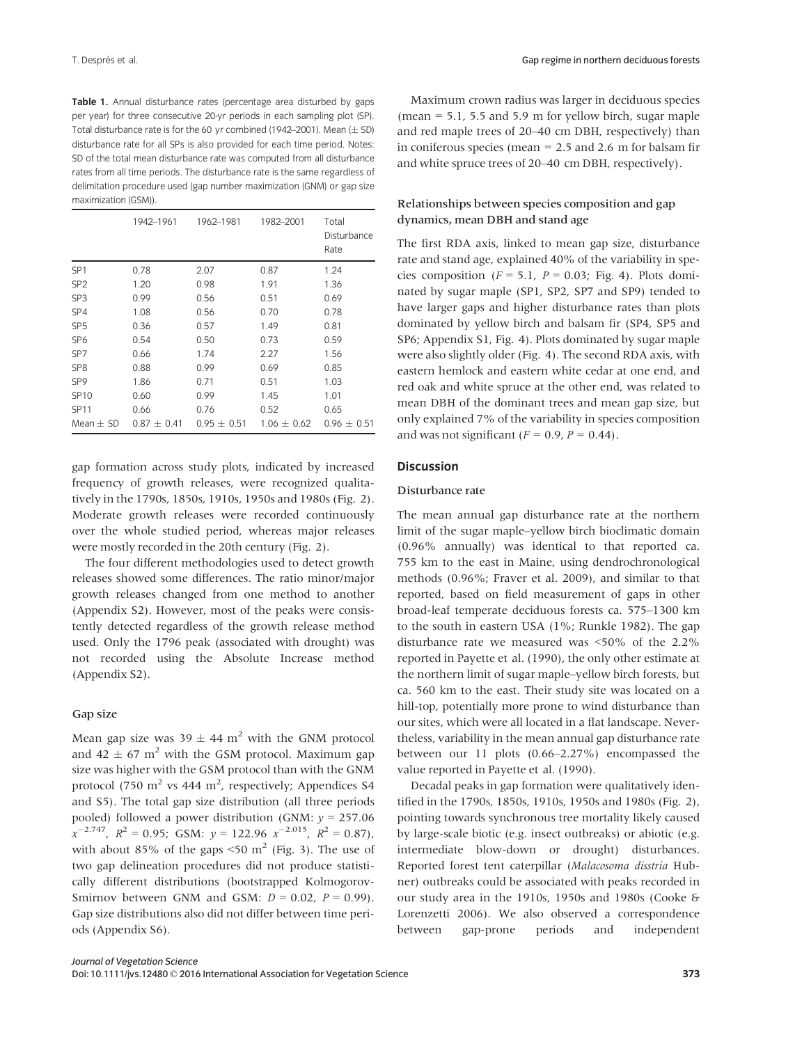Table 1. Annual disturbance rates (percentage area disturbed by gaps per year) for three consecutive 20-yr periods in each sampling plot (SP). Total disturbance rate is for the 60 yr combined (1942–2001). Mean  $(\pm$  SD) disturbance rate for all SPs is also provided for each time period. Notes: SD of the total mean disturbance rate was computed from all disturbance rates from all time periods. The disturbance rate is the same regardless of delimitation procedure used (gap number maximization (GNM) or gap size maximization (GSM)).

|                 | 1942-1961       | 1962-1981       | 1982-2001       | Total<br>Disturbance<br>Rate |
|-----------------|-----------------|-----------------|-----------------|------------------------------|
| SP <sub>1</sub> | 0.78            | 2.07            | 0.87            | 1.24                         |
| SP <sub>2</sub> | 1.20            | 0.98            | 1.91            | 1.36                         |
| SP <sub>3</sub> | 0.99            | 0.56            | 0.51            | 0.69                         |
| SP <sub>4</sub> | 1.08            | 0.56            | 0.70            | 0.78                         |
| SP <sub>5</sub> | 0.36            | 0.57            | 1.49            | 0.81                         |
| SP <sub>6</sub> | 0.54            | 0.50            | 0.73            | 0.59                         |
| SP <sub>7</sub> | 0.66            | 1.74            | 2.27            | 1.56                         |
| SP <sub>8</sub> | 0.88            | 0.99            | 0.69            | 0.85                         |
| SP <sub>9</sub> | 1.86            | 0.71            | 0.51            | 1.03                         |
| <b>SP10</b>     | 0.60            | 0.99            | 1.45            | 1.01                         |
| <b>SP11</b>     | 0.66            | 0.76            | 0.52            | 0.65                         |
| Mean $\pm$ SD   | $0.87 \pm 0.41$ | $0.95 \pm 0.51$ | $1.06 \pm 0.62$ | $0.96 \pm 0.51$              |

gap formation across study plots, indicated by increased frequency of growth releases, were recognized qualitatively in the 1790s, 1850s, 1910s, 1950s and 1980s (Fig. 2). Moderate growth releases were recorded continuously over the whole studied period, whereas major releases were mostly recorded in the 20th century (Fig. 2).

The four different methodologies used to detect growth releases showed some differences. The ratio minor/major growth releases changed from one method to another (Appendix S2). However, most of the peaks were consistently detected regardless of the growth release method used. Only the 1796 peak (associated with drought) was not recorded using the Absolute Increase method (Appendix S2).

#### Gap size

Mean gap size was  $39 \pm 44$  m<sup>2</sup> with the GNM protocol and  $42 \pm 67$  m<sup>2</sup> with the GSM protocol. Maximum gap size was higher with the GSM protocol than with the GNM protocol (750  $\text{m}^2$  vs 444  $\text{m}^2$ , respectively; Appendices S4 and S5). The total gap size distribution (all three periods pooled) followed a power distribution (GNM:  $y = 257.06$ )  $x^{-2.747}$ ,  $R^2 = 0.95$ ; GSM:  $y = 122.96$   $x^{-2.015}$ ,  $R^2 = 0.87$ ), with about 85% of the gaps  $\leq 50$  m<sup>2</sup> (Fig. 3). The use of two gap delineation procedures did not produce statistically different distributions (bootstrapped Kolmogorov-Smirnov between GNM and GSM:  $D = 0.02$ ,  $P = 0.99$ ). Gap size distributions also did not differ between time periods (Appendix S6).

Maximum crown radius was larger in deciduous species (mean = 5.1, 5.5 and 5.9 m for yellow birch, sugar maple and red maple trees of 20–40 cm DBH, respectively) than in coniferous species (mean  $= 2.5$  and 2.6 m for balsam fir and white spruce trees of 20–40 cm DBH, respectively).

# Relationships between species composition and gap dynamics, mean DBH and stand age

The first RDA axis, linked to mean gap size, disturbance rate and stand age, explained 40% of the variability in species composition ( $F = 5.1$ ,  $P = 0.03$ ; Fig. 4). Plots dominated by sugar maple (SP1, SP2, SP7 and SP9) tended to have larger gaps and higher disturbance rates than plots dominated by yellow birch and balsam fir (SP4, SP5 and SP6; Appendix S1, Fig. 4). Plots dominated by sugar maple were also slightly older (Fig. 4). The second RDA axis, with eastern hemlock and eastern white cedar at one end, and red oak and white spruce at the other end, was related to mean DBH of the dominant trees and mean gap size, but only explained 7% of the variability in species composition and was not significant ( $F = 0.9$ ,  $P = 0.44$ ).

# **Discussion**

## Disturbance rate

The mean annual gap disturbance rate at the northern limit of the sugar maple–yellow birch bioclimatic domain (0.96% annually) was identical to that reported ca. 755 km to the east in Maine, using dendrochronological methods (0.96%; Fraver et al. 2009), and similar to that reported, based on field measurement of gaps in other broad-leaf temperate deciduous forests ca. 575–1300 km to the south in eastern USA (1%; Runkle 1982). The gap disturbance rate we measured was <50% of the 2.2% reported in Payette et al. (1990), the only other estimate at the northern limit of sugar maple–yellow birch forests, but ca. 560 km to the east. Their study site was located on a hill-top, potentially more prone to wind disturbance than our sites, which were all located in a flat landscape. Nevertheless, variability in the mean annual gap disturbance rate between our 11 plots (0.66–2.27%) encompassed the value reported in Payette et al. (1990).

Decadal peaks in gap formation were qualitatively identified in the 1790s, 1850s, 1910s, 1950s and 1980s (Fig. 2), pointing towards synchronous tree mortality likely caused by large-scale biotic (e.g. insect outbreaks) or abiotic (e.g. intermediate blow-down or drought) disturbances. Reported forest tent caterpillar (Malacosoma disstria Hubner) outbreaks could be associated with peaks recorded in our study area in the 1910s, 1950s and 1980s (Cooke & Lorenzetti 2006). We also observed a correspondence between gap-prone periods and independent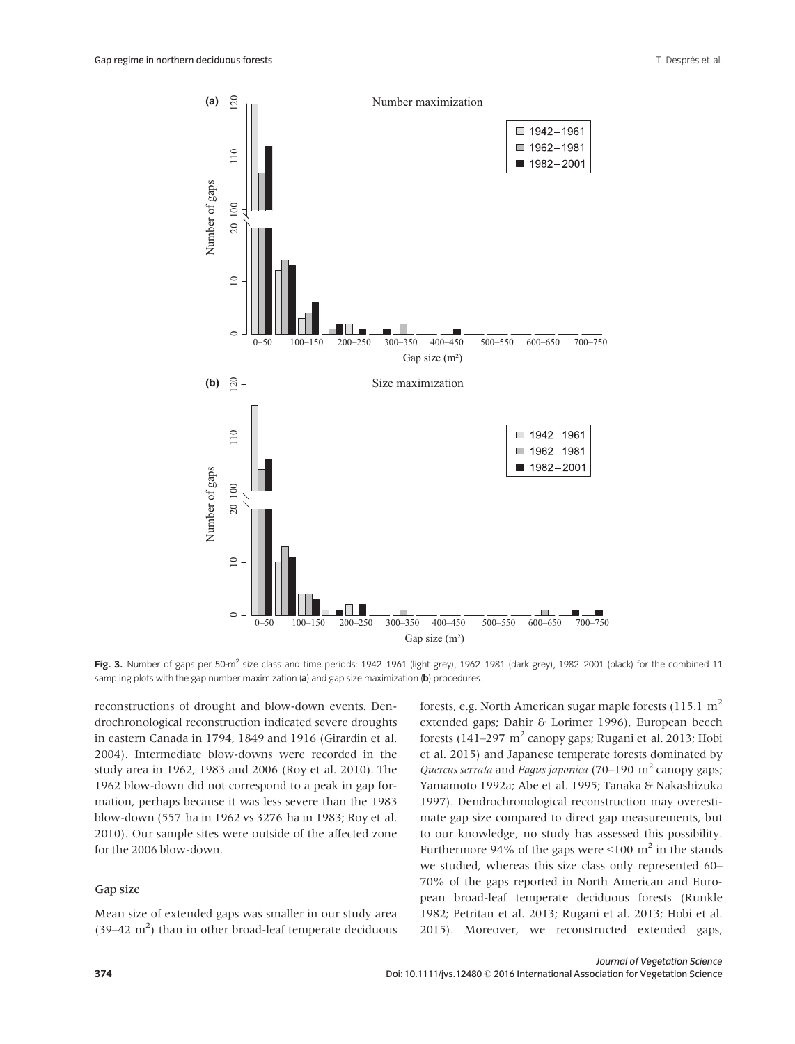

Fig. 3. Number of gaps per 50-m<sup>2</sup> size class and time periods: 1942–1961 (light grey), 1962–1981 (dark grey), 1982–2001 (black) for the combined 11 sampling plots with the gap number maximization (a) and gap size maximization (b) procedures.

reconstructions of drought and blow-down events. Dendrochronological reconstruction indicated severe droughts in eastern Canada in 1794, 1849 and 1916 (Girardin et al. 2004). Intermediate blow-downs were recorded in the study area in 1962, 1983 and 2006 (Roy et al. 2010). The 1962 blow-down did not correspond to a peak in gap formation, perhaps because it was less severe than the 1983 blow-down (557 ha in 1962 vs 3276 ha in 1983; Roy et al. 2010). Our sample sites were outside of the affected zone for the 2006 blow-down.

## Gap size

Mean size of extended gaps was smaller in our study area  $(39-42 \text{ m}^2)$  than in other broad-leaf temperate deciduous

forests, e.g. North American sugar maple forests  $(115.1 \text{ m}^2)$ extended gaps; Dahir & Lorimer 1996), European beech forests (141-297 m<sup>2</sup> canopy gaps; Rugani et al. 2013; Hobi et al. 2015) and Japanese temperate forests dominated by Quercus serrata and Fagus japonica (70–190  $\mathrm{m}^2$  canopy gaps; Yamamoto 1992a; Abe et al. 1995; Tanaka & Nakashizuka 1997). Dendrochronological reconstruction may overestimate gap size compared to direct gap measurements, but to our knowledge, no study has assessed this possibility. Furthermore 94% of the gaps were  $\leq 100$  m<sup>2</sup> in the stands we studied, whereas this size class only represented 60– 70% of the gaps reported in North American and European broad-leaf temperate deciduous forests (Runkle 1982; Petritan et al. 2013; Rugani et al. 2013; Hobi et al. 2015). Moreover, we reconstructed extended gaps,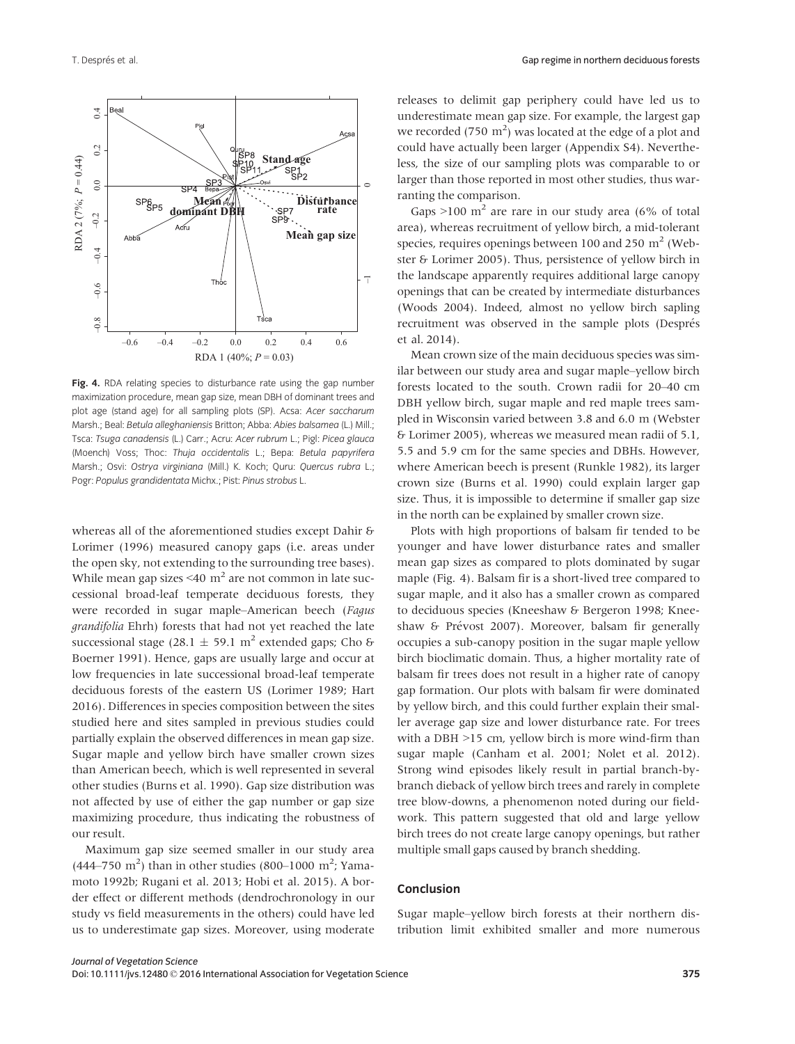

Fig. 4. RDA relating species to disturbance rate using the gap number maximization procedure, mean gap size, mean DBH of dominant trees and plot age (stand age) for all sampling plots (SP). Acsa: Acer saccharum Marsh.; Beal: Betula alleghaniensis Britton; Abba: Abies balsamea (L.) Mill.; Tsca: Tsuga canadensis (L.) Carr.; Acru: Acer rubrum L.; Pigl: Picea glauca (Moench) Voss; Thoc: Thuja occidentalis L.; Bepa: Betula papyrifera Marsh.; Osvi: Ostrya virginiana (Mill.) K. Koch; Quru: Quercus rubra L.; Pogr: Populus grandidentata Michx.; Pist: Pinus strobus L.

whereas all of the aforementioned studies except Dahir & Lorimer (1996) measured canopy gaps (i.e. areas under the open sky, not extending to the surrounding tree bases). While mean gap sizes  $\leq 40$  m<sup>2</sup> are not common in late successional broad-leaf temperate deciduous forests, they were recorded in sugar maple–American beech (Fagus grandifolia Ehrh) forests that had not yet reached the late successional stage (28.1  $\pm$  59.1 m<sup>2</sup> extended gaps; Cho & Boerner 1991). Hence, gaps are usually large and occur at low frequencies in late successional broad-leaf temperate deciduous forests of the eastern US (Lorimer 1989; Hart 2016). Differences in species composition between the sites studied here and sites sampled in previous studies could partially explain the observed differences in mean gap size. Sugar maple and yellow birch have smaller crown sizes than American beech, which is well represented in several other studies (Burns et al. 1990). Gap size distribution was not affected by use of either the gap number or gap size maximizing procedure, thus indicating the robustness of our result.

Maximum gap size seemed smaller in our study area (444–750 m<sup>2</sup>) than in other studies (800–1000 m<sup>2</sup>; Yamamoto 1992b; Rugani et al. 2013; Hobi et al. 2015). A border effect or different methods (dendrochronology in our study vs field measurements in the others) could have led us to underestimate gap sizes. Moreover, using moderate

releases to delimit gap periphery could have led us to underestimate mean gap size. For example, the largest gap we recorded (750  $\mathrm{m}^2$ ) was located at the edge of a plot and could have actually been larger (Appendix S4). Nevertheless, the size of our sampling plots was comparable to or larger than those reported in most other studies, thus warranting the comparison.

Gaps  $>100$  m<sup>2</sup> are rare in our study area (6% of total area), whereas recruitment of yellow birch, a mid-tolerant species, requires openings between 100 and 250  $\text{m}^2$  (Webster & Lorimer 2005). Thus, persistence of yellow birch in the landscape apparently requires additional large canopy openings that can be created by intermediate disturbances (Woods 2004). Indeed, almost no yellow birch sapling recruitment was observed in the sample plots (Després et al. 2014).

Mean crown size of the main deciduous species was similar between our study area and sugar maple–yellow birch forests located to the south. Crown radii for 20–40 cm DBH yellow birch, sugar maple and red maple trees sampled in Wisconsin varied between 3.8 and 6.0 m (Webster & Lorimer 2005), whereas we measured mean radii of 5.1, 5.5 and 5.9 cm for the same species and DBHs. However, where American beech is present (Runkle 1982), its larger crown size (Burns et al. 1990) could explain larger gap size. Thus, it is impossible to determine if smaller gap size in the north can be explained by smaller crown size.

Plots with high proportions of balsam fir tended to be younger and have lower disturbance rates and smaller mean gap sizes as compared to plots dominated by sugar maple (Fig. 4). Balsam fir is a short-lived tree compared to sugar maple, and it also has a smaller crown as compared to deciduous species (Kneeshaw & Bergeron 1998; Kneeshaw & Prévost 2007). Moreover, balsam fir generally occupies a sub-canopy position in the sugar maple yellow birch bioclimatic domain. Thus, a higher mortality rate of balsam fir trees does not result in a higher rate of canopy gap formation. Our plots with balsam fir were dominated by yellow birch, and this could further explain their smaller average gap size and lower disturbance rate. For trees with a DBH >15 cm, yellow birch is more wind-firm than sugar maple (Canham et al. 2001; Nolet et al. 2012). Strong wind episodes likely result in partial branch-bybranch dieback of yellow birch trees and rarely in complete tree blow-downs, a phenomenon noted during our fieldwork. This pattern suggested that old and large yellow birch trees do not create large canopy openings, but rather multiple small gaps caused by branch shedding.

# Conclusion

Sugar maple–yellow birch forests at their northern distribution limit exhibited smaller and more numerous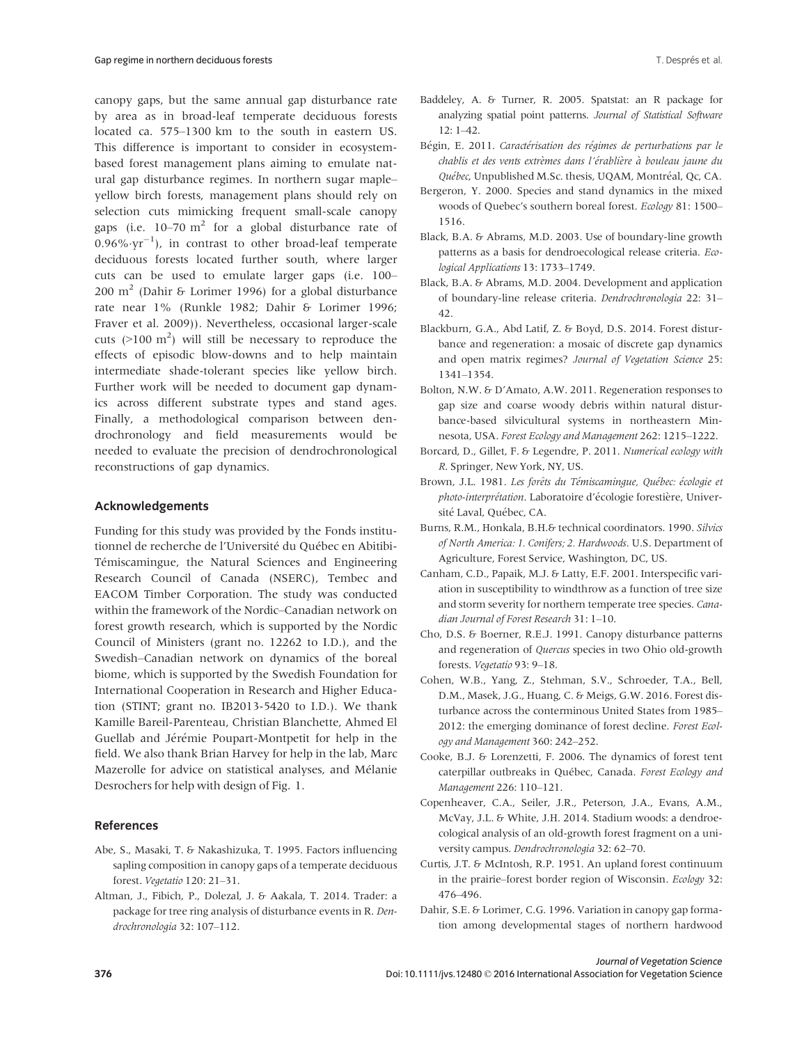canopy gaps, but the same annual gap disturbance rate by area as in broad-leaf temperate deciduous forests located ca. 575–1300 km to the south in eastern US. This difference is important to consider in ecosystembased forest management plans aiming to emulate natural gap disturbance regimes. In northern sugar maple– yellow birch forests, management plans should rely on selection cuts mimicking frequent small-scale canopy gaps (i.e.  $10-70 \text{ m}^2$  for a global disturbance rate of  $0.96\% \cdot yr^{-1}$ , in contrast to other broad-leaf temperate deciduous forests located further south, where larger cuts can be used to emulate larger gaps (i.e. 100– 200 m<sup>2</sup> (Dahir & Lorimer 1996) for a global disturbance rate near 1% (Runkle 1982; Dahir & Lorimer 1996; Fraver et al. 2009)). Nevertheless, occasional larger-scale cuts ( $>100 \text{ m}^2$ ) will still be necessary to reproduce the effects of episodic blow-downs and to help maintain intermediate shade-tolerant species like yellow birch. Further work will be needed to document gap dynamics across different substrate types and stand ages. Finally, a methodological comparison between dendrochronology and field measurements would be needed to evaluate the precision of dendrochronological reconstructions of gap dynamics.

## Acknowledgements

Funding for this study was provided by the Fonds institutionnel de recherche de l'Université du Québec en Abitibi-Témiscamingue, the Natural Sciences and Engineering Research Council of Canada (NSERC), Tembec and EACOM Timber Corporation. The study was conducted within the framework of the Nordic–Canadian network on forest growth research, which is supported by the Nordic Council of Ministers (grant no. 12262 to I.D.), and the Swedish–Canadian network on dynamics of the boreal biome, which is supported by the Swedish Foundation for International Cooperation in Research and Higher Education (STINT; grant no. IB2013-5420 to I.D.). We thank Kamille Bareil-Parenteau, Christian Blanchette, Ahmed El Guellab and Jérémie Poupart-Montpetit for help in the field. We also thank Brian Harvey for help in the lab, Marc Mazerolle for advice on statistical analyses, and Melanie Desrochers for help with design of Fig. 1.

## References

- Abe, S., Masaki, T. & Nakashizuka, T. 1995. Factors influencing sapling composition in canopy gaps of a temperate deciduous forest. Vegetatio 120: 21–31.
- Altman, J., Fibich, P., Dolezal, J. & Aakala, T. 2014. Trader: a package for tree ring analysis of disturbance events in R. Dendrochronologia 32: 107–112.
- Baddeley, A. & Turner, R. 2005. Spatstat: an R package for analyzing spatial point patterns. Journal of Statistical Software  $12: 1-42.$
- Bégin, E. 2011. Caractérisation des régimes de perturbations par le chablis et des vents extrèmes dans l'érablière à bouleau jaune du Québec, Unpublished M.Sc. thesis, UQAM, Montréal, Qc, CA.
- Bergeron, Y. 2000. Species and stand dynamics in the mixed woods of Quebec's southern boreal forest. Ecology 81: 1500– 1516.
- Black, B.A. & Abrams, M.D. 2003. Use of boundary-line growth patterns as a basis for dendroecological release criteria. Ecological Applications 13: 1733–1749.
- Black, B.A. & Abrams, M.D. 2004. Development and application of boundary-line release criteria. Dendrochronologia 22: 31– 42.
- Blackburn, G.A., Abd Latif, Z. & Boyd, D.S. 2014. Forest disturbance and regeneration: a mosaic of discrete gap dynamics and open matrix regimes? Journal of Vegetation Science 25: 1341–1354.
- Bolton, N.W. & D'Amato, A.W. 2011. Regeneration responses to gap size and coarse woody debris within natural disturbance-based silvicultural systems in northeastern Minnesota, USA. Forest Ecology and Management 262: 1215–1222.
- Borcard, D., Gillet, F. & Legendre, P. 2011. Numerical ecology with R. Springer, New York, NY, US.
- Brown, J.L. 1981. Les forêts du Témiscamingue, Québec: écologie et photo-interprétation. Laboratoire d'écologie forestière, Université Laval, Québec, CA.
- Burns, R.M., Honkala, B.H.& technical coordinators. 1990. Silvics of North America: 1. Conifers; 2. Hardwoods. U.S. Department of Agriculture, Forest Service, Washington, DC, US.
- Canham, C.D., Papaik, M.J. & Latty, E.F. 2001. Interspecific variation in susceptibility to windthrow as a function of tree size and storm severity for northern temperate tree species. Canadian Journal of Forest Research 31: 1–10.
- Cho, D.S. & Boerner, R.E.J. 1991. Canopy disturbance patterns and regeneration of Quercus species in two Ohio old-growth forests. Vegetatio 93: 9–18.
- Cohen, W.B., Yang, Z., Stehman, S.V., Schroeder, T.A., Bell, D.M., Masek, J.G., Huang, C. & Meigs, G.W. 2016. Forest disturbance across the conterminous United States from 1985– 2012: the emerging dominance of forest decline. Forest Ecology and Management 360: 242–252.
- Cooke, B.J. & Lorenzetti, F. 2006. The dynamics of forest tent caterpillar outbreaks in Québec, Canada. Forest Ecology and Management 226: 110–121.
- Copenheaver, C.A., Seiler, J.R., Peterson, J.A., Evans, A.M., McVay, J.L. & White, J.H. 2014. Stadium woods: a dendroecological analysis of an old-growth forest fragment on a university campus. Dendrochronologia 32: 62–70.
- Curtis, J.T. & McIntosh, R.P. 1951. An upland forest continuum in the prairie–forest border region of Wisconsin. Ecology 32: 476–496.
- Dahir, S.E. & Lorimer, C.G. 1996. Variation in canopy gap formation among developmental stages of northern hardwood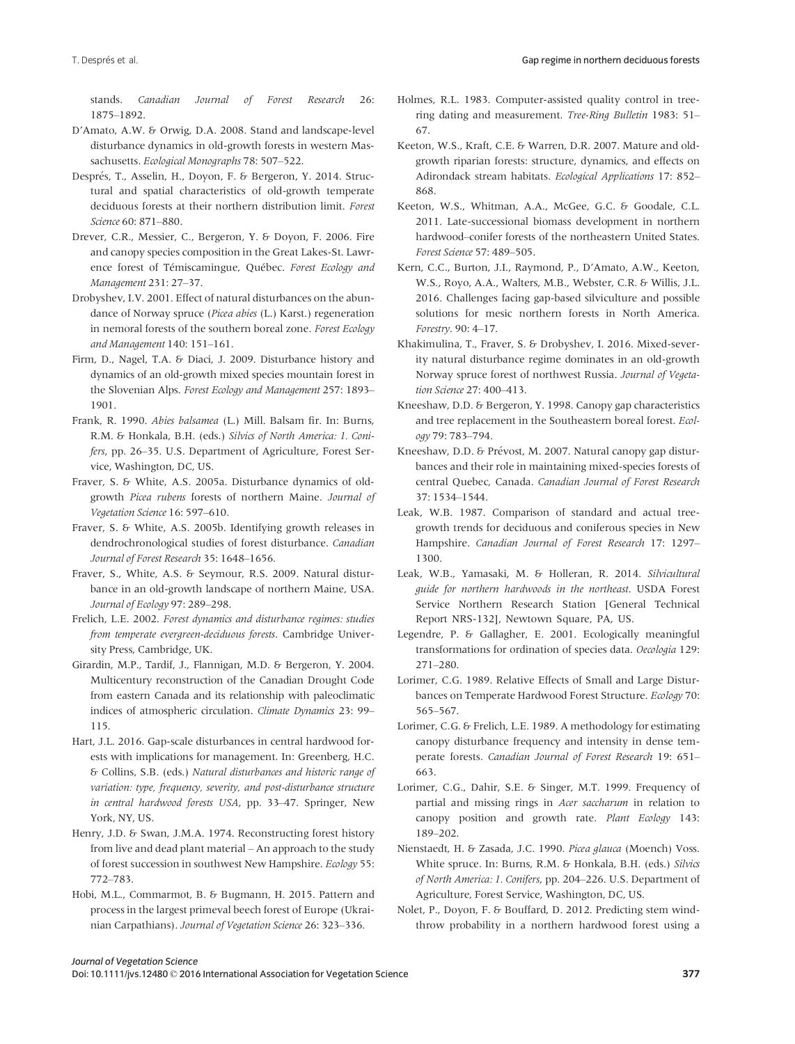stands. Canadian Journal of Forest Research 26: 1875–1892.

- D'Amato, A.W. & Orwig, D.A. 2008. Stand and landscape-level disturbance dynamics in old-growth forests in western Massachusetts. Ecological Monographs 78: 507–522.
- Després, T., Asselin, H., Doyon, F. & Bergeron, Y. 2014. Structural and spatial characteristics of old-growth temperate deciduous forests at their northern distribution limit. Forest Science 60: 871–880.
- Drever, C.R., Messier, C., Bergeron, Y. & Doyon, F. 2006. Fire and canopy species composition in the Great Lakes-St. Lawrence forest of Témiscamingue, Québec. Forest Ecology and Management 231: 27–37.
- Drobyshev, I.V. 2001. Effect of natural disturbances on the abundance of Norway spruce (Picea abies (L.) Karst.) regeneration in nemoral forests of the southern boreal zone. Forest Ecology and Management 140: 151–161.
- Firm, D., Nagel, T.A. & Diaci, J. 2009. Disturbance history and dynamics of an old-growth mixed species mountain forest in the Slovenian Alps. Forest Ecology and Management 257: 1893– 1901.
- Frank, R. 1990. Abies balsamea (L.) Mill. Balsam fir. In: Burns, R.M. & Honkala, B.H. (eds.) Silvics of North America: 1. Conifers, pp. 26–35. U.S. Department of Agriculture, Forest Service, Washington, DC, US.
- Fraver, S. & White, A.S. 2005a. Disturbance dynamics of oldgrowth Picea rubens forests of northern Maine. Journal of Vegetation Science 16: 597–610.
- Fraver, S. & White, A.S. 2005b. Identifying growth releases in dendrochronological studies of forest disturbance. Canadian Journal of Forest Research 35: 1648–1656.
- Fraver, S., White, A.S. & Seymour, R.S. 2009. Natural disturbance in an old-growth landscape of northern Maine, USA. Journal of Ecology 97: 289–298.
- Frelich, L.E. 2002. Forest dynamics and disturbance regimes: studies from temperate evergreen-deciduous forests. Cambridge University Press, Cambridge, UK.
- Girardin, M.P., Tardif, J., Flannigan, M.D. & Bergeron, Y. 2004. Multicentury reconstruction of the Canadian Drought Code from eastern Canada and its relationship with paleoclimatic indices of atmospheric circulation. Climate Dynamics 23: 99– 115.
- Hart, J.L. 2016. Gap-scale disturbances in central hardwood forests with implications for management. In: Greenberg, H.C. & Collins, S.B. (eds.) Natural disturbances and historic range of variation: type, frequency, severity, and post-disturbance structure in central hardwood forests USA, pp. 33–47. Springer, New York, NY, US.
- Henry, J.D. & Swan, J.M.A. 1974. Reconstructing forest history from live and dead plant material – An approach to the study of forest succession in southwest New Hampshire. Ecology 55: 772–783.
- Hobi, M.L., Commarmot, B. & Bugmann, H. 2015. Pattern and process in the largest primeval beech forest of Europe (Ukrainian Carpathians). Journal of Vegetation Science 26: 323–336.
- Holmes, R.L. 1983. Computer-assisted quality control in treering dating and measurement. Tree-Ring Bulletin 1983: 51– 67.
- Keeton, W.S., Kraft, C.E. & Warren, D.R. 2007. Mature and oldgrowth riparian forests: structure, dynamics, and effects on Adirondack stream habitats. Ecological Applications 17: 852– 868.
- Keeton, W.S., Whitman, A.A., McGee, G.C. & Goodale, C.L. 2011. Late-successional biomass development in northern hardwood–conifer forests of the northeastern United States. Forest Science 57: 489–505.
- Kern, C.C., Burton, J.I., Raymond, P., D'Amato, A.W., Keeton, W.S., Royo, A.A., Walters, M.B., Webster, C.R. & Willis, J.L. 2016. Challenges facing gap-based silviculture and possible solutions for mesic northern forests in North America. Forestry. 90: 4–17.
- Khakimulina, T., Fraver, S. & Drobyshev, I. 2016. Mixed-severity natural disturbance regime dominates in an old-growth Norway spruce forest of northwest Russia. Journal of Vegetation Science 27: 400–413.
- Kneeshaw, D.D. & Bergeron, Y. 1998. Canopy gap characteristics and tree replacement in the Southeastern boreal forest. Ecology 79: 783–794.
- Kneeshaw, D.D. & Prévost, M. 2007. Natural canopy gap disturbances and their role in maintaining mixed-species forests of central Quebec, Canada. Canadian Journal of Forest Research 37: 1534–1544.
- Leak, W.B. 1987. Comparison of standard and actual treegrowth trends for deciduous and coniferous species in New Hampshire. Canadian Journal of Forest Research 17: 1297– 1300.
- Leak, W.B., Yamasaki, M. & Holleran, R. 2014. Silvicultural guide for northern hardwoods in the northeast. USDA Forest Service Northern Research Station [General Technical Report NRS-132], Newtown Square, PA, US.
- Legendre, P. & Gallagher, E. 2001. Ecologically meaningful transformations for ordination of species data. Oecologia 129: 271–280.
- Lorimer, C.G. 1989. Relative Effects of Small and Large Disturbances on Temperate Hardwood Forest Structure. Ecology 70: 565–567.
- Lorimer, C.G. & Frelich, L.E. 1989. A methodology for estimating canopy disturbance frequency and intensity in dense temperate forests. Canadian Journal of Forest Research 19: 651– 663.
- Lorimer, C.G., Dahir, S.E. & Singer, M.T. 1999. Frequency of partial and missing rings in Acer saccharum in relation to canopy position and growth rate. Plant Ecology 143: 189–202.
- Nienstaedt, H. & Zasada, J.C. 1990. Picea glauca (Moench) Voss. White spruce. In: Burns, R.M. & Honkala, B.H. (eds.) Silvics of North America: 1. Conifers, pp. 204–226. U.S. Department of Agriculture, Forest Service, Washington, DC, US.
- Nolet, P., Doyon, F. & Bouffard, D. 2012. Predicting stem windthrow probability in a northern hardwood forest using a